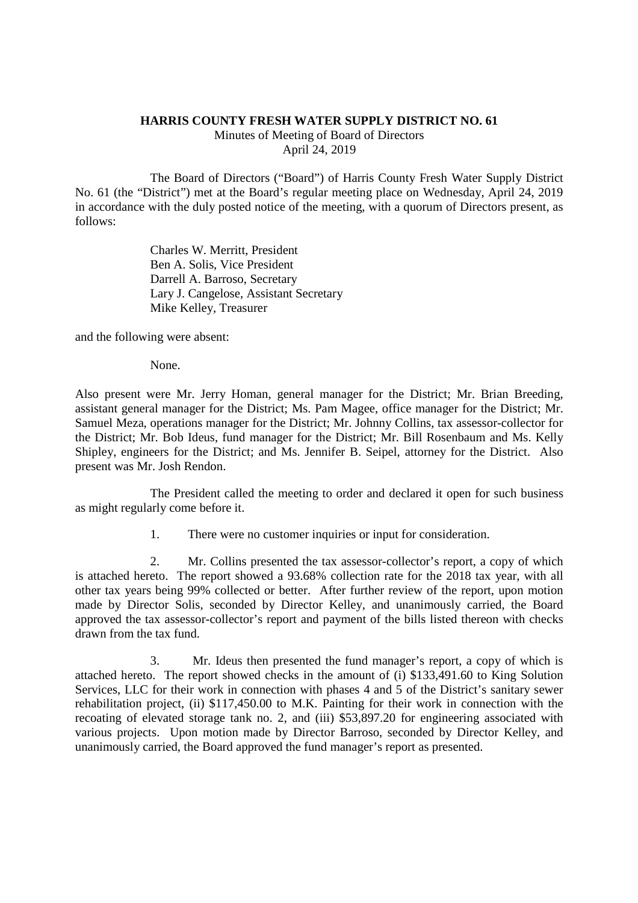## **HARRIS COUNTY FRESH WATER SUPPLY DISTRICT NO. 61**

Minutes of Meeting of Board of Directors April 24, 2019

The Board of Directors ("Board") of Harris County Fresh Water Supply District No. 61 (the "District") met at the Board's regular meeting place on Wednesday, April 24, 2019 in accordance with the duly posted notice of the meeting, with a quorum of Directors present, as follows:

> Charles W. Merritt, President Ben A. Solis, Vice President Darrell A. Barroso, Secretary Lary J. Cangelose, Assistant Secretary Mike Kelley, Treasurer

and the following were absent:

None.

Also present were Mr. Jerry Homan, general manager for the District; Mr. Brian Breeding, assistant general manager for the District; Ms. Pam Magee, office manager for the District; Mr. Samuel Meza, operations manager for the District; Mr. Johnny Collins, tax assessor-collector for the District; Mr. Bob Ideus, fund manager for the District; Mr. Bill Rosenbaum and Ms. Kelly Shipley, engineers for the District; and Ms. Jennifer B. Seipel, attorney for the District. Also present was Mr. Josh Rendon.

The President called the meeting to order and declared it open for such business as might regularly come before it.

1. There were no customer inquiries or input for consideration.

2. Mr. Collins presented the tax assessor-collector's report, a copy of which is attached hereto. The report showed a 93.68% collection rate for the 2018 tax year, with all other tax years being 99% collected or better. After further review of the report, upon motion made by Director Solis, seconded by Director Kelley, and unanimously carried, the Board approved the tax assessor-collector's report and payment of the bills listed thereon with checks drawn from the tax fund.

3. Mr. Ideus then presented the fund manager's report, a copy of which is attached hereto. The report showed checks in the amount of (i) \$133,491.60 to King Solution Services, LLC for their work in connection with phases 4 and 5 of the District's sanitary sewer rehabilitation project, (ii) \$117,450.00 to M.K. Painting for their work in connection with the recoating of elevated storage tank no. 2, and (iii) \$53,897.20 for engineering associated with various projects. Upon motion made by Director Barroso, seconded by Director Kelley, and unanimously carried, the Board approved the fund manager's report as presented.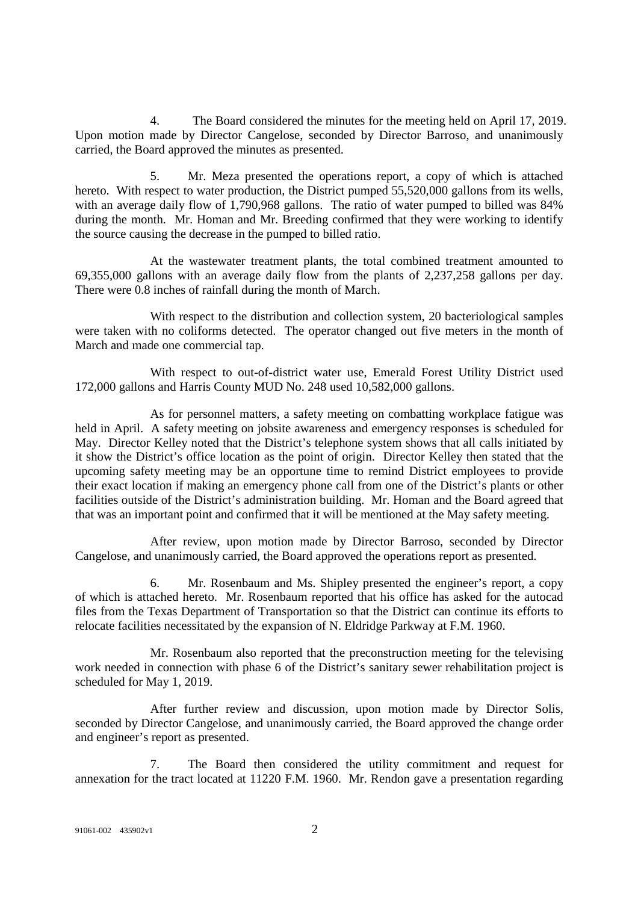4. The Board considered the minutes for the meeting held on April 17, 2019. Upon motion made by Director Cangelose, seconded by Director Barroso, and unanimously carried, the Board approved the minutes as presented.

5. Mr. Meza presented the operations report, a copy of which is attached hereto. With respect to water production, the District pumped 55,520,000 gallons from its wells, with an average daily flow of 1,790,968 gallons. The ratio of water pumped to billed was 84% during the month. Mr. Homan and Mr. Breeding confirmed that they were working to identify the source causing the decrease in the pumped to billed ratio.

At the wastewater treatment plants, the total combined treatment amounted to 69,355,000 gallons with an average daily flow from the plants of 2,237,258 gallons per day. There were 0.8 inches of rainfall during the month of March.

With respect to the distribution and collection system, 20 bacteriological samples were taken with no coliforms detected. The operator changed out five meters in the month of March and made one commercial tap.

With respect to out-of-district water use, Emerald Forest Utility District used 172,000 gallons and Harris County MUD No. 248 used 10,582,000 gallons.

As for personnel matters, a safety meeting on combatting workplace fatigue was held in April. A safety meeting on jobsite awareness and emergency responses is scheduled for May. Director Kelley noted that the District's telephone system shows that all calls initiated by it show the District's office location as the point of origin. Director Kelley then stated that the upcoming safety meeting may be an opportune time to remind District employees to provide their exact location if making an emergency phone call from one of the District's plants or other facilities outside of the District's administration building. Mr. Homan and the Board agreed that that was an important point and confirmed that it will be mentioned at the May safety meeting.

After review, upon motion made by Director Barroso, seconded by Director Cangelose, and unanimously carried, the Board approved the operations report as presented.

6. Mr. Rosenbaum and Ms. Shipley presented the engineer's report, a copy of which is attached hereto. Mr. Rosenbaum reported that his office has asked for the autocad files from the Texas Department of Transportation so that the District can continue its efforts to relocate facilities necessitated by the expansion of N. Eldridge Parkway at F.M. 1960.

Mr. Rosenbaum also reported that the preconstruction meeting for the televising work needed in connection with phase 6 of the District's sanitary sewer rehabilitation project is scheduled for May 1, 2019.

After further review and discussion, upon motion made by Director Solis, seconded by Director Cangelose, and unanimously carried, the Board approved the change order and engineer's report as presented.

7. The Board then considered the utility commitment and request for annexation for the tract located at 11220 F.M. 1960. Mr. Rendon gave a presentation regarding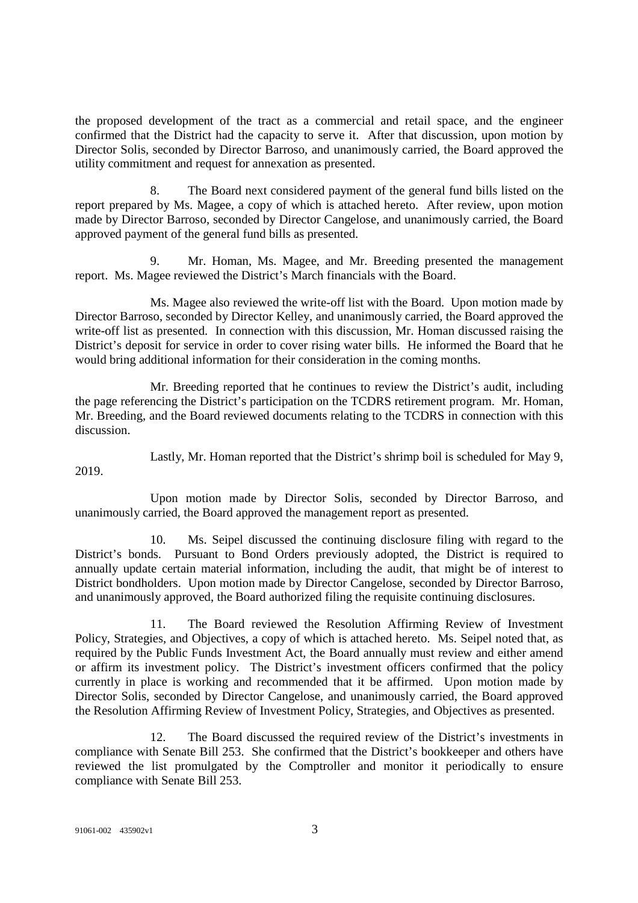the proposed development of the tract as a commercial and retail space, and the engineer confirmed that the District had the capacity to serve it. After that discussion, upon motion by Director Solis, seconded by Director Barroso, and unanimously carried, the Board approved the utility commitment and request for annexation as presented.

8. The Board next considered payment of the general fund bills listed on the report prepared by Ms. Magee, a copy of which is attached hereto. After review, upon motion made by Director Barroso, seconded by Director Cangelose, and unanimously carried, the Board approved payment of the general fund bills as presented.

Mr. Homan, Ms. Magee, and Mr. Breeding presented the management report. Ms. Magee reviewed the District's March financials with the Board.

Ms. Magee also reviewed the write-off list with the Board. Upon motion made by Director Barroso, seconded by Director Kelley, and unanimously carried, the Board approved the write-off list as presented. In connection with this discussion, Mr. Homan discussed raising the District's deposit for service in order to cover rising water bills. He informed the Board that he would bring additional information for their consideration in the coming months.

Mr. Breeding reported that he continues to review the District's audit, including the page referencing the District's participation on the TCDRS retirement program. Mr. Homan, Mr. Breeding, and the Board reviewed documents relating to the TCDRS in connection with this discussion.

2019.

Lastly, Mr. Homan reported that the District's shrimp boil is scheduled for May 9,

Upon motion made by Director Solis, seconded by Director Barroso, and unanimously carried, the Board approved the management report as presented.

10. Ms. Seipel discussed the continuing disclosure filing with regard to the District's bonds. Pursuant to Bond Orders previously adopted, the District is required to annually update certain material information, including the audit, that might be of interest to District bondholders. Upon motion made by Director Cangelose, seconded by Director Barroso, and unanimously approved, the Board authorized filing the requisite continuing disclosures.

11. The Board reviewed the Resolution Affirming Review of Investment Policy, Strategies, and Objectives, a copy of which is attached hereto. Ms. Seipel noted that, as required by the Public Funds Investment Act, the Board annually must review and either amend or affirm its investment policy. The District's investment officers confirmed that the policy currently in place is working and recommended that it be affirmed. Upon motion made by Director Solis, seconded by Director Cangelose, and unanimously carried, the Board approved the Resolution Affirming Review of Investment Policy, Strategies, and Objectives as presented.

12. The Board discussed the required review of the District's investments in compliance with Senate Bill 253. She confirmed that the District's bookkeeper and others have reviewed the list promulgated by the Comptroller and monitor it periodically to ensure compliance with Senate Bill 253.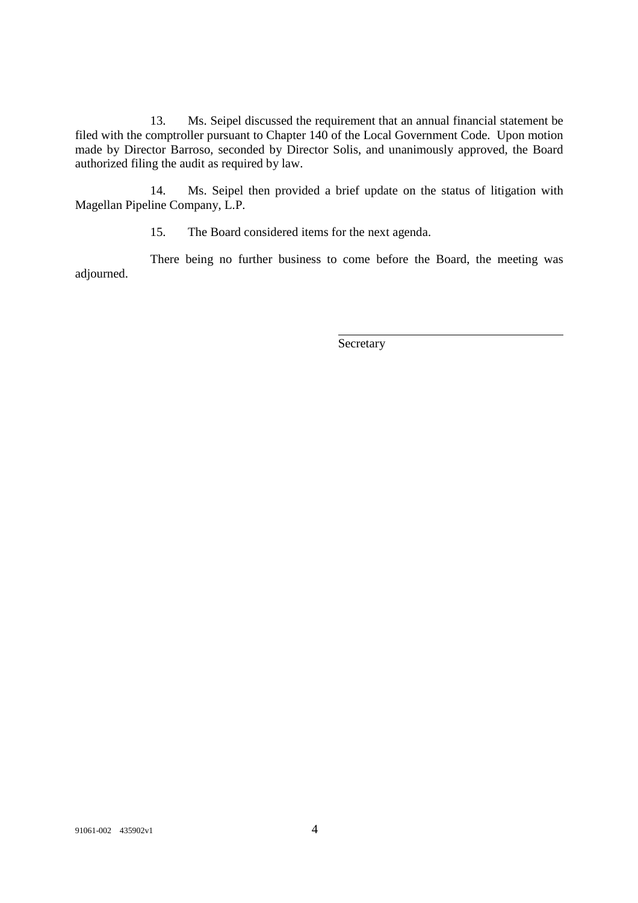13. Ms. Seipel discussed the requirement that an annual financial statement be filed with the comptroller pursuant to Chapter 140 of the Local Government Code. Upon motion made by Director Barroso, seconded by Director Solis, and unanimously approved, the Board authorized filing the audit as required by law.

14. Ms. Seipel then provided a brief update on the status of litigation with Magellan Pipeline Company, L.P.

15. The Board considered items for the next agenda.

There being no further business to come before the Board, the meeting was adjourned.

**Secretary**